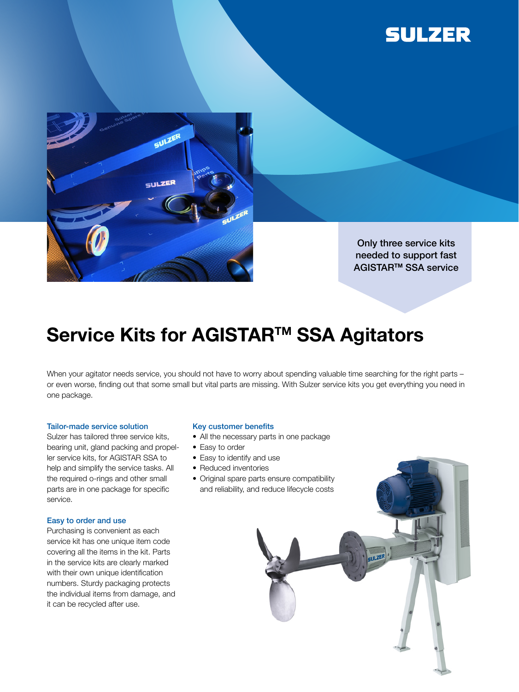



Only three service kits needed to support fast AGISTARTM SSA service

 $\overline{11}$  ZER

## Service Kits for AGISTAR<sup>™</sup> SSA Agitators

When your agitator needs service, you should not have to worry about spending valuable time searching for the right parts or even worse, finding out that some small but vital parts are missing. With Sulzer service kits you get everything you need in one package.

## Tailor-made service solution

Sulzer has tailored three service kits, bearing unit, gland packing and propeller service kits, for AGISTAR SSA to help and simplify the service tasks. All the required o-rings and other small parts are in one package for specific service.

## Easy to order and use

Purchasing is convenient as each service kit has one unique item code covering all the items in the kit. Parts in the service kits are clearly marked with their own unique identification numbers. Sturdy packaging protects the individual items from damage, and it can be recycled after use.

#### Key customer benefits

- All the necessary parts in one package
- Easy to order
- Easy to identify and use
- Reduced inventories
- Original spare parts ensure compatibility and reliability, and reduce lifecycle costs